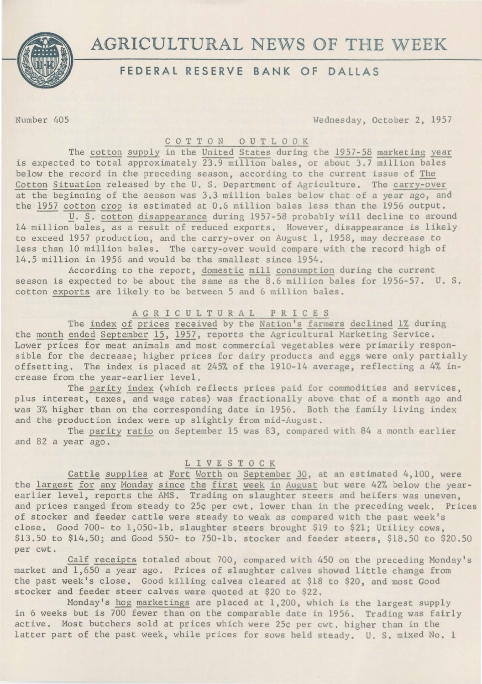

# **AGRICULTURAL** NEWS **OF THE** WEEK

### **FEDERAL RESERVE BANK OF DALLAS**

Number 405 Wednesday, October 2, 1957

### C 0 T T 0 N 0 U T L 0 0 K

The cotton supply in the United States during the 1957-58 marketing year is expected to total approximately 23.9 million bales, or about 3.7 million bales below the record in the preceding season, according to the current issue of The Cotton Situation released by the U. S. Department of Agriculture. The carry-over at the beginning of the season was 3.3 million bales below that of a year ago, and the 1957 cotton crop is estimated at 0.6 million bales less than the 1956 output.

*U. S. cotton disappearance during 1957-58 probably will decline to around* 14 million bales, as a result of reduced exports. However, disappearance is likely to exceed 1957 production, and the carry-over on August 1, 1958, may decrease to less than 10 million bales. The carry-over would compare with the record high of 14.5 million in 1956 and would be the smallest since 1954.

According to the report, domestic mill consumption during the current season is expected to be about the same as the 8.6 million bales for 1956-57. U. S. cotton exports are likely to be between 5 and 6 million bales.

## AGRICULTURAL PRICES

The index of prices received by the Nation's farmers declined 1% during the month ended September 15, 1957, reports the Agricultural Marketing Service. Lower prices for meat animals and most commercial vegetables were primarily responsible for the decrease; higher prices for dairy products and eggs were only partially offsetting. The index is placed at 245% of the 1910-14 average, reflecting a 4% increase from the year-earlier level.

The parity index (which reflects prices paid for commodities and services, plus interest, taxes, and wage rates) was fractionally above that of a month ago and was 3% higher than on the corresponding date in 1956. Both the family living index and the production index were up slightly from mid-August.

The parity ratio on September 15 was 83, compared with 84 a month earlier and 82 a year ago.

### L I V E S T 0 C K

Cattle supplies at Fort Worth on September 30, at an estimated 4,100, were the largest for any Monday since the first week in August but were 42% below the yearearlier level, reports the AMS. Trading on slaughter steers and heifers was uneven, and prices ranged from steady to 25¢ per cwt. lower than in the preceding week. Prices of stocker and feeder cattle were steady to weak as compared with the past week's close. Good 700- to 1,050-lb. slaughter steers brought \$19 to \$21; Utility cows, \$13.50 to \$14.50; and Good 550- to 750-lb. stocker and feeder steers, \$18.50 to \$20.50 per cwt.

Calf receipts totaled about 700, compared with 450 on the preceding Monday's market and 1,650 a year ago. Prices of slaughter calves showed little change from the past week's close. Good killing calves cleared at \$18 to \$20, and most Good stocker and feeder steer calves were quoted at \$20 to \$22.

Monday's hog marketings are placed at 1,200, which is the largest supply in 6 weeks but is 700 fewer than on the comparable date in 1956. Trading was fairly active. Most butchers sold at prices which were 25¢ per cwt. higher than in the latter part of the past week, while prices for sows held steady. U. S. mixed No. 1